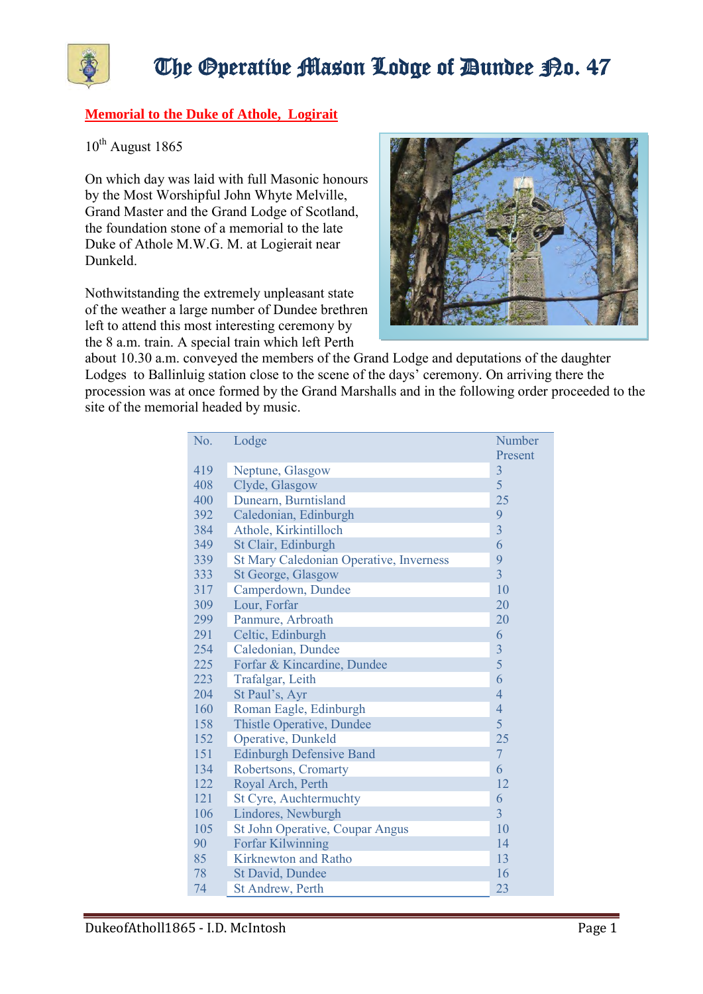

## The Operative Mason Lodge of Dundee P.o. 47

## **Memorial to the Duke of Athole, Logirait**

 $10^{th}$  August 1865

On which day was laid with full Masonic honours by the Most Worshipful John Whyte Melville, Grand Master and the Grand Lodge of Scotland, the foundation stone of a memorial to the late Duke of Athole M.W.G. M. at Logierait near Dunkeld.

Nothwitstanding the extremely unpleasant state of the weather a large number of Dundee brethren left to attend this most interesting ceremony by the 8 a.m. train. A special train which left Perth



about 10.30 a.m. conveyed the members of the Grand Lodge and deputations of the daughter Lodges to Ballinluig station close to the scene of the days' ceremony. On arriving there the procession was at once formed by the Grand Marshalls and in the following order proceeded to the site of the memorial headed by music.

| No. | Lodge                                   | <b>Number</b>  |
|-----|-----------------------------------------|----------------|
|     |                                         | Present        |
| 419 | Neptune, Glasgow                        | $\overline{3}$ |
| 408 | Clyde, Glasgow                          | 5              |
| 400 | Dunearn, Burntisland                    | 25             |
| 392 | Caledonian, Edinburgh                   | 9              |
| 384 | Athole, Kirkintilloch                   | $\overline{3}$ |
| 349 | St Clair, Edinburgh                     | 6              |
| 339 | St Mary Caledonian Operative, Inverness | 9              |
| 333 | St George, Glasgow                      | $\overline{3}$ |
| 317 | Camperdown, Dundee                      | 10             |
| 309 | Lour, Forfar                            | 20             |
| 299 | Panmure, Arbroath                       | 20             |
| 291 | Celtic, Edinburgh                       | 6              |
| 254 | Caledonian, Dundee                      | $\overline{3}$ |
| 225 | Forfar & Kincardine, Dundee             | 5              |
| 223 | Trafalgar, Leith                        | 6              |
| 204 | St Paul's, Ayr                          | $\overline{4}$ |
| 160 | Roman Eagle, Edinburgh                  | $\overline{4}$ |
| 158 | Thistle Operative, Dundee               | 5              |
| 152 | Operative, Dunkeld                      | 25             |
| 151 | <b>Edinburgh Defensive Band</b>         | $\overline{7}$ |
| 134 | Robertsons, Cromarty                    | 6              |
| 122 | Royal Arch, Perth                       | 12             |
| 121 | <b>St Cyre, Auchtermuchty</b>           | 6              |
| 106 | Lindores, Newburgh                      | $\overline{3}$ |
| 105 | St John Operative, Coupar Angus         | 10             |
| 90  | <b>Forfar Kilwinning</b>                | 14             |
| 85  | <b>Kirknewton and Ratho</b>             | 13             |
| 78  | St David, Dundee                        | 16             |
| 74  | <b>St Andrew, Perth</b>                 | 23             |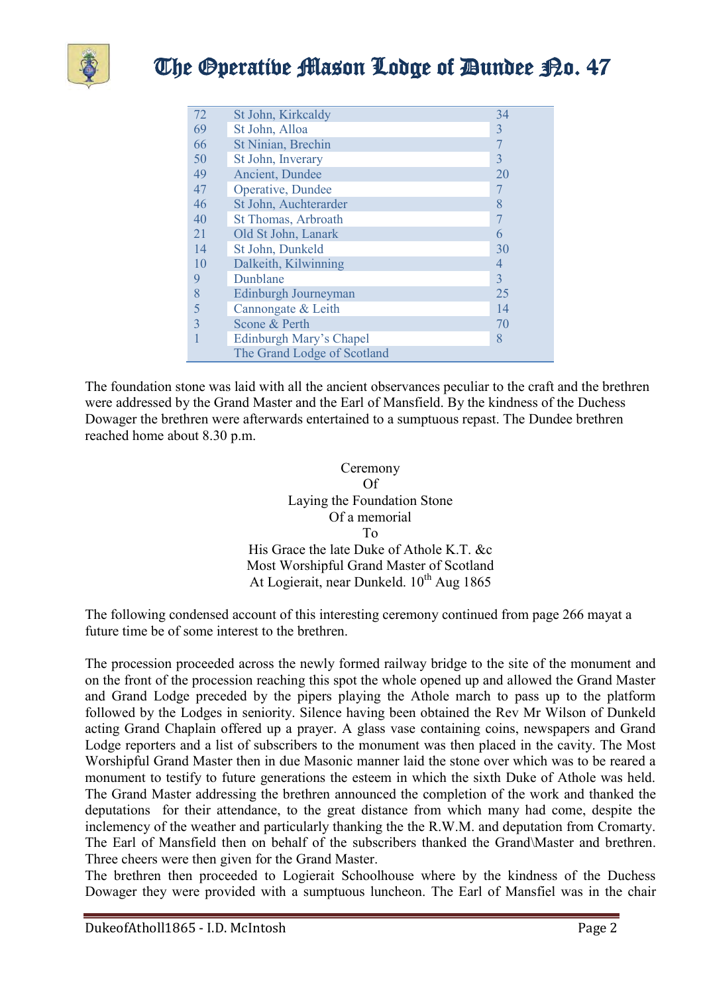

| 72           | St John, Kirkcaldy          | 34             |
|--------------|-----------------------------|----------------|
| 69           | St John, Alloa              | 3              |
| 66           | St Ninian, Brechin          |                |
| 50           | St John, Inverary           | 3              |
| 49           | Ancient, Dundee             | 20             |
| 47           | Operative, Dundee           |                |
| 46           | St John, Auchterarder       | 8              |
| 40           | St Thomas, Arbroath         |                |
| 21           | Old St John, Lanark         | 6              |
| 14           | St John, Dunkeld            | 30             |
| 10           | Dalkeith, Kilwinning        | $\overline{4}$ |
| 9            | Dunblane                    | $\overline{3}$ |
| 8            | Edinburgh Journeyman        | 25             |
| 5            | Cannongate & Leith          | 14             |
| $\mathbf{3}$ | Scone & Perth               | 70             |
|              | Edinburgh Mary's Chapel     | 8              |
|              | The Grand Lodge of Scotland |                |

The foundation stone was laid with all the ancient observances peculiar to the craft and the brethren were addressed by the Grand Master and the Earl of Mansfield. By the kindness of the Duchess Dowager the brethren were afterwards entertained to a sumptuous repast. The Dundee brethren reached home about 8.30 p.m.

## Ceremony Of Laying the Foundation Stone Of a memorial To His Grace the late Duke of Athole K.T. &c Most Worshipful Grand Master of Scotland At Logierait, near Dunkeld.  $10^{th}$  Aug 1865

The following condensed account of this interesting ceremony continued from page 266 mayat a future time be of some interest to the brethren.

The procession proceeded across the newly formed railway bridge to the site of the monument and on the front of the procession reaching this spot the whole opened up and allowed the Grand Master and Grand Lodge preceded by the pipers playing the Athole march to pass up to the platform followed by the Lodges in seniority. Silence having been obtained the Rev Mr Wilson of Dunkeld acting Grand Chaplain offered up a prayer. A glass vase containing coins, newspapers and Grand Lodge reporters and a list of subscribers to the monument was then placed in the cavity. The Most Worshipful Grand Master then in due Masonic manner laid the stone over which was to be reared a monument to testify to future generations the esteem in which the sixth Duke of Athole was held. The Grand Master addressing the brethren announced the completion of the work and thanked the deputations for their attendance, to the great distance from which many had come, despite the inclemency of the weather and particularly thanking the the R.W.M. and deputation from Cromarty. The Earl of Mansfield then on behalf of the subscribers thanked the Grand\Master and brethren. Three cheers were then given for the Grand Master.

The brethren then proceeded to Logierait Schoolhouse where by the kindness of the Duchess Dowager they were provided with a sumptuous luncheon. The Earl of Mansfiel was in the chair